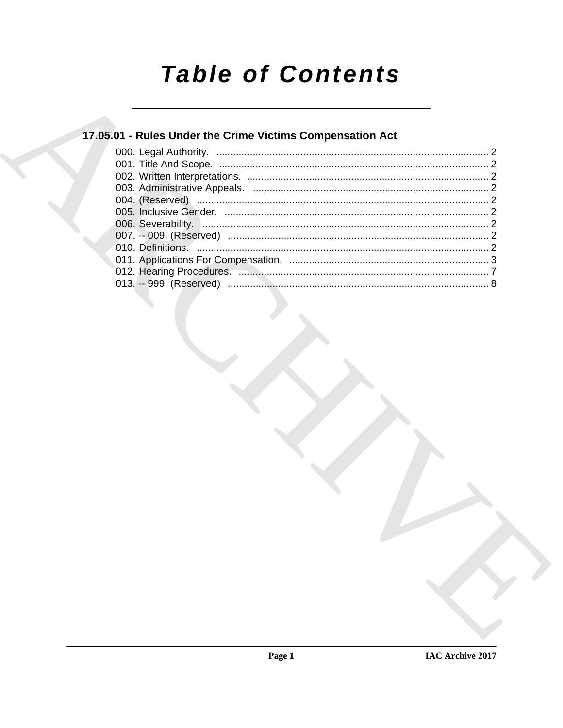# **Table of Contents**

## 17.05.01 - Rules Under the Crime Victims Compensation Act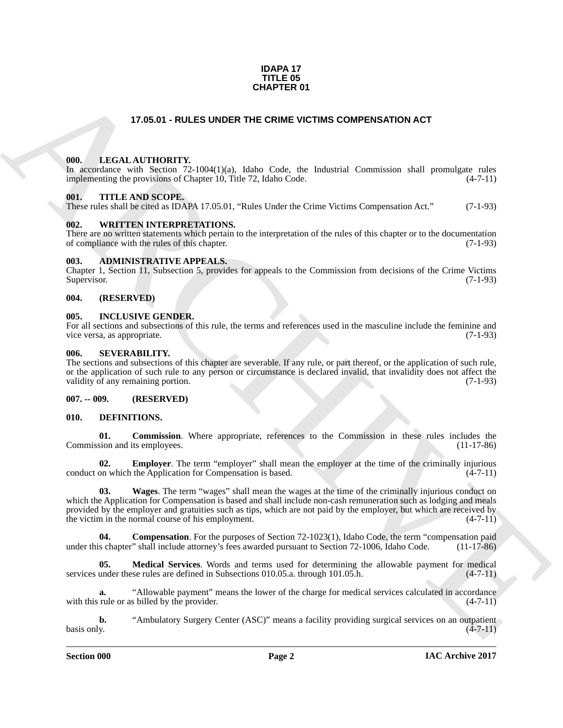#### **IDAPA 17 TITLE 05 CHAPTER 01**

#### **17.05.01 - RULES UNDER THE CRIME VICTIMS COMPENSATION ACT**

#### <span id="page-1-1"></span><span id="page-1-0"></span>**000. LEGAL AUTHORITY.**

In accordance with Section 72-1004(1)(a), Idaho Code, the Industrial Commission shall promulgate rules implementing the provisions of Chapter 10, Title 72, Idaho Code. (4-7-11)

#### <span id="page-1-2"></span>**001. TITLE AND SCOPE.**

These rules shall be cited as IDAPA 17.05.01, "Rules Under the Crime Victims Compensation Act." (7-1-93)

#### <span id="page-1-3"></span>**002. WRITTEN INTERPRETATIONS.**

There are no written statements which pertain to the interpretation of the rules of this chapter or to the documentation of compliance with the rules of this chapter. (7-1-93) of compliance with the rules of this chapter.

#### <span id="page-1-4"></span>**003. ADMINISTRATIVE APPEALS.**

Chapter 1, Section 11, Subsection 5, provides for appeals to the Commission from decisions of the Crime Victims Supervisor. (7-1-93)

#### <span id="page-1-5"></span>**004. (RESERVED)**

#### <span id="page-1-6"></span>**005. INCLUSIVE GENDER.**

For all sections and subsections of this rule, the terms and references used in the masculine include the feminine and vice versa, as appropriate. (7-1-93) vice versa, as appropriate.

#### <span id="page-1-7"></span>**006. SEVERABILITY.**

The sections and subsections of this chapter are severable. If any rule, or part thereof, or the application of such rule, or the application of such rule to any person or circumstance is declared invalid, that invalidity does not affect the validity of any remaining portion. (7-1-93)

#### <span id="page-1-8"></span>**007. -- 009. (RESERVED)**

#### <span id="page-1-10"></span><span id="page-1-9"></span>**010. DEFINITIONS.**

<span id="page-1-13"></span>**01. Commission**. Where appropriate, references to the Commission in these rules includes the sion and its employees. (11-17-86) Commission and its employees.

<span id="page-1-17"></span><span id="page-1-15"></span>**02. Employer**. The term "employer" shall mean the employer at the time of the criminally injurious on which the Application for Compensation is based. (4-7-11) conduct on which the Application for Compensation is based.

**CHAPTER 01**<br> **CHARCHIVE SURFER DIRECTAIN COMPENSATION ACT**<br> **CHARCHIVE SURFER DIRECTAIN COMPENSATION ACT**<br> **CHARCHIVE SURFER DIRECTAIN CONTRACT CONTRACT CONTRACT CONTRACT CONTRACT CONTRACT CONTRACT CONTRACT CONTRACT CONT 03. Wages**. The term "wages" shall mean the wages at the time of the criminally injurious conduct on which the Application for Compensation is based and shall include non-cash remuneration such as lodging and meals provided by the employer and gratuities such as tips, which are not paid by the employer, but which are received by the victim in the normal course of his employment. (4-7-11)

<span id="page-1-14"></span>**04. Compensation**. For the purposes of Section 72-1023(1), Idaho Code, the term "compensation paid s chapter" shall include attorney's fees awarded pursuant to Section 72-1006, Idaho Code. (11-17-86) under this chapter" shall include attorney's fees awarded pursuant to Section 72-1006, Idaho Code.

<span id="page-1-16"></span>**05. Medical Services**. Words and terms used for determining the allowable payment for medical services under these rules are defined in Subsections 010.05.a. through 101.05.h. (4-7-11)

<span id="page-1-11"></span>**a.** "Allowable payment" means the lower of the charge for medical services calculated in accordance rule or as billed by the provider.  $(4-7-11)$ with this rule or as billed by the provider.

<span id="page-1-12"></span>**b.** "Ambulatory Surgery Center (ASC)" means a facility providing surgical services on an outpatient v.  $\alpha$  basis only. (4-7-11)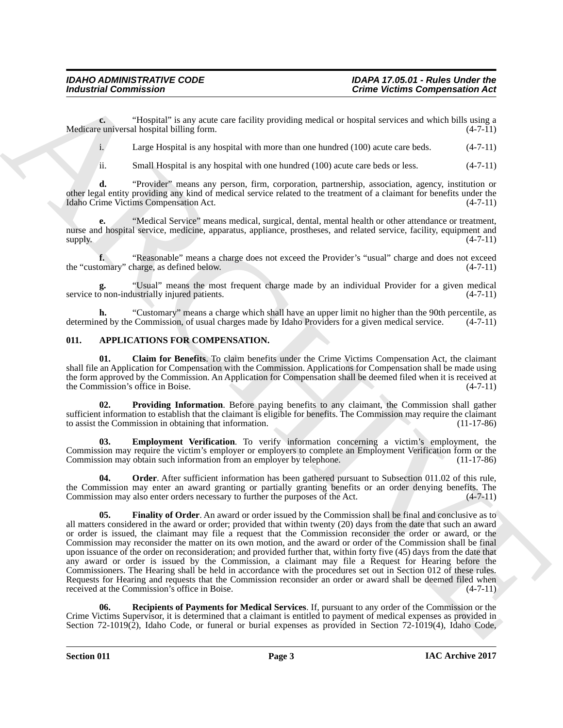**c.** "Hospital" is any acute care facility providing medical or hospital services and which bills using a equiversal hospital billing form. Medicare universal hospital billing form.

<span id="page-2-10"></span><span id="page-2-9"></span>i. Large Hospital is any hospital with more than one hundred (100) acute care beds. (4-7-11)

<span id="page-2-14"></span><span id="page-2-12"></span><span id="page-2-11"></span>ii. Small Hospital is any hospital with one hundred (100) acute care beds or less. (4-7-11)

**d.** "Provider" means any person, firm, corporation, partnership, association, agency, institution or other legal entity providing any kind of medical service related to the treatment of a claimant for benefits under the Idaho Crime Victims Compensation Act. (4-7-11) Idaho Crime Victims Compensation Act.

**e.** "Medical Service" means medical, surgical, dental, mental health or other attendance or treatment, nurse and hospital service, medicine, apparatus, appliance, prostheses, and related service, facility, equipment and supply.  $(4-7-11)$ 

<span id="page-2-13"></span>**f.** "Reasonable" means a charge does not exceed the Provider's "usual" charge and does not exceed omary" charge, as defined below.  $(4-7-11)$ the "customary" charge, as defined below.

<span id="page-2-15"></span>**g.** "Usual" means the most frequent charge made by an individual Provider for a given medical service to non-industrially injured patients.

<span id="page-2-8"></span>**h.** "Customary" means a charge which shall have an upper limit no higher than the 90th percentile, as ed by the Commission, of usual charges made by Idaho Providers for a given medical service.  $(4-7-11)$ determined by the Commission, of usual charges made by Idaho Providers for a given medical service.

#### <span id="page-2-1"></span><span id="page-2-0"></span>**011. APPLICATIONS FOR COMPENSATION.**

<span id="page-2-2"></span>**01. Claim for Benefits**. To claim benefits under the Crime Victims Compensation Act, the claimant shall file an Application for Compensation with the Commission. Applications for Compensation shall be made using the form approved by the Commission. An Application for Compensation shall be deemed filed when it is received at the Commission's office in Boise. (4-7-11) the Commission's office in Boise.

<span id="page-2-6"></span>Providing Information. Before paying benefits to any claimant, the Commission shall gather sufficient information to establish that the claimant is eligible for benefits. The Commission may require the claimant to assist the Commission in obtaining that information. (11-17-86) to assist the Commission in obtaining that information.

<span id="page-2-3"></span>**03. Employment Verification**. To verify information concerning a victim's employment, the Commission may require the victim's employer or employers to complete an Employment Verification form or the Commission may obtain such information from an employer by telephone. (11-17-86)

<span id="page-2-5"></span><span id="page-2-4"></span>**04. Order**. After sufficient information has been gathered pursuant to Subsection 011.02 of this rule, the Commission may enter an award granting or partially granting benefits or an order denying benefits. The Commission may also enter orders necessary to further the purposes of the Act. (4-7-11)

For the main of the main system and the state of the main of the state of the main of the main of the main of the main of the main of the main of the main of the main of the main of the main of the main of the main of the **05. Finality of Order**. An award or order issued by the Commission shall be final and conclusive as to all matters considered in the award or order; provided that within twenty (20) days from the date that such an award or order is issued, the claimant may file a request that the Commission reconsider the order or award, or the Commission may reconsider the matter on its own motion, and the award or order of the Commission shall be final upon issuance of the order on reconsideration; and provided further that, within forty five (45) days from the date that any award or order is issued by the Commission, a claimant may file a Request for Hearing before the Commissioners. The Hearing shall be held in accordance with the procedures set out in Section 012 of these rules. Requests for Hearing and requests that the Commission reconsider an order or award shall be deemed filed when<br>received at the Commission's office in Boise. (4-7-11) received at the Commission's office in Boise.

<span id="page-2-7"></span>**06. Recipients of Payments for Medical Services**. If, pursuant to any order of the Commission or the Crime Victims Supervisor, it is determined that a claimant is entitled to payment of medical expenses as provided in Section 72-1019(2), Idaho Code, or funeral or burial expenses as provided in Section 72-1019(4), Idaho Code,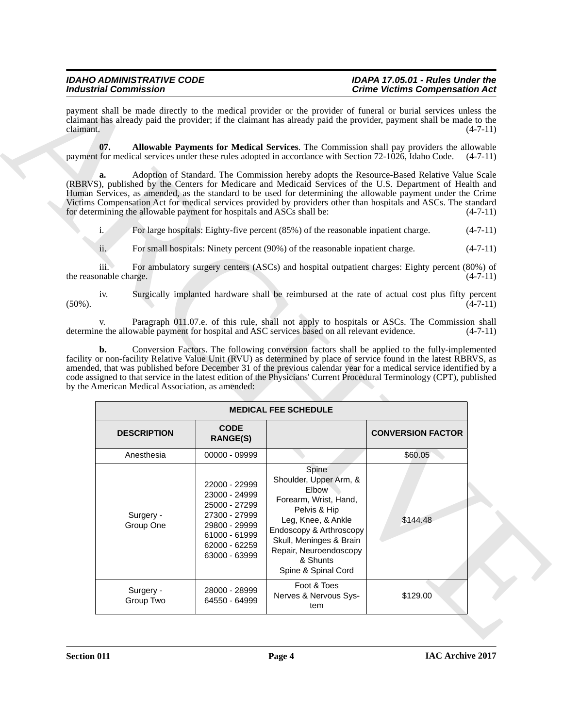#### <span id="page-3-0"></span>*IDAHO ADMINISTRATIVE CODE IDAPA 17.05.01 - Rules Under the Crime Victims Compensation Act*

| <b>Industrial Commission</b> |                                                                                                     |                                                                                                                                      |                                                                                                                                                                                                                                                                                                                                                                                                                                            | <b>Crime Victims Compensation Act</b> |            |
|------------------------------|-----------------------------------------------------------------------------------------------------|--------------------------------------------------------------------------------------------------------------------------------------|--------------------------------------------------------------------------------------------------------------------------------------------------------------------------------------------------------------------------------------------------------------------------------------------------------------------------------------------------------------------------------------------------------------------------------------------|---------------------------------------|------------|
| claimant.                    |                                                                                                     |                                                                                                                                      | payment shall be made directly to the medical provider or the provider of funeral or burial services unless the<br>claimant has already paid the provider; if the claimant has already paid the provider, payment shall be made to the                                                                                                                                                                                                     |                                       | $(4-7-11)$ |
|                              | 07.                                                                                                 |                                                                                                                                      | Allowable Payments for Medical Services. The Commission shall pay providers the allowable<br>payment for medical services under these rules adopted in accordance with Section 72-1026, Idaho Code.                                                                                                                                                                                                                                        |                                       | $(4-7-11)$ |
|                              | a.<br>for determining the allowable payment for hospitals and ASCs shall be:                        |                                                                                                                                      | Adoption of Standard. The Commission hereby adopts the Resource-Based Relative Value Scale<br>(RBRVS), published by the Centers for Medicare and Medicaid Services of the U.S. Department of Health and<br>Human Services, as amended, as the standard to be used for determining the allowable payment under the Crime<br>Victims Compensation Act for medical services provided by providers other than hospitals and ASCs. The standard |                                       | $(4-7-11)$ |
|                              | $\mathbf{i}$ .                                                                                      |                                                                                                                                      | For large hospitals: Eighty-five percent (85%) of the reasonable inpatient charge.                                                                                                                                                                                                                                                                                                                                                         |                                       | $(4-7-11)$ |
|                              | ii.                                                                                                 |                                                                                                                                      | For small hospitals: Ninety percent (90%) of the reasonable inpatient charge.                                                                                                                                                                                                                                                                                                                                                              |                                       | $(4-7-11)$ |
|                              | iii.<br>the reasonable charge.                                                                      |                                                                                                                                      | For ambulatory surgery centers (ASCs) and hospital outpatient charges: Eighty percent (80%) of                                                                                                                                                                                                                                                                                                                                             |                                       | $(4-7-11)$ |
| $(50\%)$ .                   | iv.                                                                                                 |                                                                                                                                      | Surgically implanted hardware shall be reimbursed at the rate of actual cost plus fifty percent                                                                                                                                                                                                                                                                                                                                            |                                       | $(4-7-11)$ |
|                              | V.                                                                                                  |                                                                                                                                      | Paragraph 011.07.e. of this rule, shall not apply to hospitals or ASCs. The Commission shall                                                                                                                                                                                                                                                                                                                                               |                                       |            |
|                              | determine the allowable payment for hospital and ASC services based on all relevant evidence.<br>b. |                                                                                                                                      | Conversion Factors. The following conversion factors shall be applied to the fully-implemented                                                                                                                                                                                                                                                                                                                                             |                                       | $(4-7-11)$ |
|                              | by the American Medical Association, as amended:                                                    |                                                                                                                                      | facility or non-facility Relative Value Unit (RVU) as determined by place of service found in the latest RBRVS, as<br>amended, that was published before December 31 of the previous calendar year for a medical service identified by a<br>code assigned to that service in the latest edition of the Physicians' Current Procedural Terminology (CPT), published<br><b>MEDICAL FEE SCHEDULE</b>                                          |                                       |            |
|                              | <b>DESCRIPTION</b>                                                                                  | <b>CODE</b><br><b>RANGE(S)</b>                                                                                                       |                                                                                                                                                                                                                                                                                                                                                                                                                                            | <b>CONVERSION FACTOR</b>              |            |
|                              | Anesthesia                                                                                          | 00000 - 09999                                                                                                                        |                                                                                                                                                                                                                                                                                                                                                                                                                                            | \$60.05                               |            |
|                              | Surgery -<br>Group One                                                                              | 22000 - 22999<br>23000 - 24999<br>25000 - 27299<br>27300 - 27999<br>29800 - 29999<br>61000 - 61999<br>62000 - 62259<br>63000 - 63999 | Spine<br>Shoulder, Upper Arm, &<br>Elbow<br>Forearm, Wrist, Hand,<br>Pelvis & Hip<br>Leg, Knee, & Ankle<br>Endoscopy & Arthroscopy<br>Skull, Meninges & Brain<br>Repair, Neuroendoscopy<br>& Shunts<br>Spine & Spinal Cord                                                                                                                                                                                                                 | \$144.48                              |            |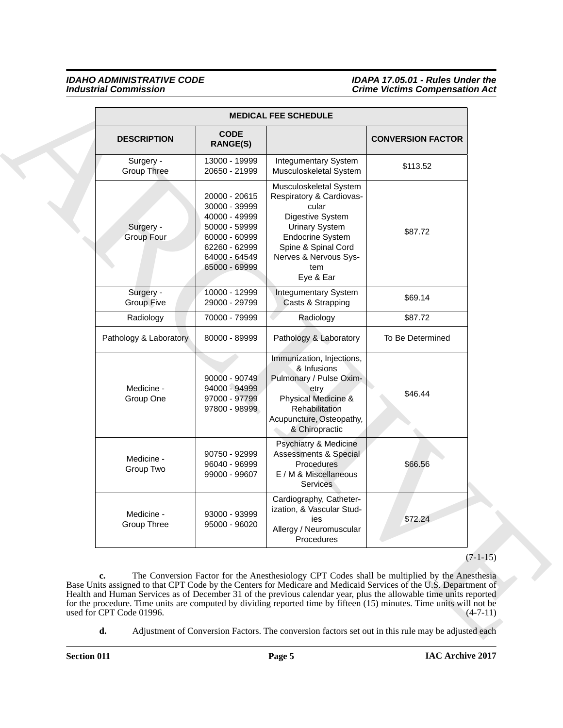#### *IDAHO ADMINISTRATIVE CODE IDAPA 17.05.01 - Rules Under the Industrial Commission Crime Victims Compensation Act*

|                                  |                                                                                                                                      | <b>MEDICAL FEE SCHEDULE</b>                                                                                                                                                                                                                                                                                                                                                                                                                                   |                          |
|----------------------------------|--------------------------------------------------------------------------------------------------------------------------------------|---------------------------------------------------------------------------------------------------------------------------------------------------------------------------------------------------------------------------------------------------------------------------------------------------------------------------------------------------------------------------------------------------------------------------------------------------------------|--------------------------|
| <b>DESCRIPTION</b>               | <b>CODE</b><br><b>RANGE(S)</b>                                                                                                       |                                                                                                                                                                                                                                                                                                                                                                                                                                                               | <b>CONVERSION FACTOR</b> |
| Surgery -<br><b>Group Three</b>  | 13000 - 19999<br>20650 - 21999                                                                                                       | <b>Integumentary System</b><br>Musculoskeletal System                                                                                                                                                                                                                                                                                                                                                                                                         | \$113.52                 |
| Surgery -<br><b>Group Four</b>   | 20000 - 20615<br>30000 - 39999<br>40000 - 49999<br>50000 - 59999<br>60000 - 60999<br>62260 - 62999<br>64000 - 64549<br>65000 - 69999 | Musculoskeletal System<br>Respiratory & Cardiovas-<br>cular<br>Digestive System<br><b>Urinary System</b><br><b>Endocrine System</b><br>Spine & Spinal Cord<br>Nerves & Nervous Sys-<br>tem<br>Eye & Ear                                                                                                                                                                                                                                                       | \$87.72                  |
| Surgery -<br><b>Group Five</b>   | 10000 - 12999<br>29000 - 29799                                                                                                       | <b>Integumentary System</b><br>Casts & Strapping                                                                                                                                                                                                                                                                                                                                                                                                              | \$69.14                  |
| Radiology                        | 70000 - 79999                                                                                                                        | Radiology                                                                                                                                                                                                                                                                                                                                                                                                                                                     | \$87.72                  |
| Pathology & Laboratory           | 80000 - 89999                                                                                                                        | Pathology & Laboratory                                                                                                                                                                                                                                                                                                                                                                                                                                        | To Be Determined         |
| Medicine -<br>Group One          | 90000 - 90749<br>94000 - 94999<br>97000 - 97799<br>97800 - 98999                                                                     | Immunization, Injections,<br>& Infusions<br>Pulmonary / Pulse Oxim-<br>etry<br>Physical Medicine &<br>Rehabilitation<br>Acupuncture, Osteopathy,<br>& Chiropractic                                                                                                                                                                                                                                                                                            | \$46.44                  |
| Medicine -<br>Group Two          | 90750 - 92999<br>96040 - 96999<br>99000 - 99607                                                                                      | Psychiatry & Medicine<br><b>Assessments &amp; Special</b><br>Procedures<br>E / M & Miscellaneous<br><b>Services</b>                                                                                                                                                                                                                                                                                                                                           | \$66.56                  |
| Medicine -<br><b>Group Three</b> | 93000 - 93999<br>95000 - 96020                                                                                                       | Cardiography, Catheter-<br>ization, & Vascular Stud-<br>ies<br>Allergy / Neuromuscular<br>Procedures                                                                                                                                                                                                                                                                                                                                                          | \$72.24                  |
|                                  |                                                                                                                                      |                                                                                                                                                                                                                                                                                                                                                                                                                                                               | $(7-1-15)$               |
| c.<br>used for CPT Code 01996.   |                                                                                                                                      | The Conversion Factor for the Anesthesiology CPT Codes shall be multiplied by the Anesthesia<br>Base Units assigned to that CPT Code by the Centers for Medicare and Medicaid Services of the U.S. Department of<br>Health and Human Services as of December 31 of the previous calendar year, plus the allowable time units reported<br>for the procedure. Time units are computed by dividing reported time by fifteen (15) minutes. Time units will not be |                          |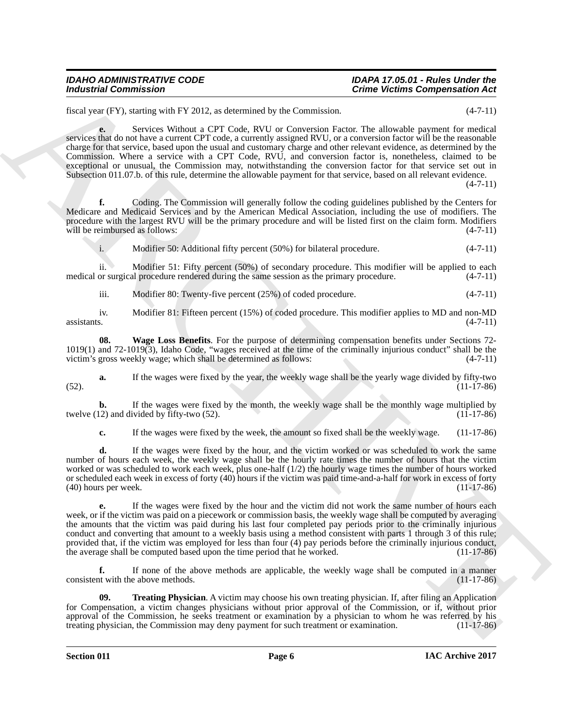## *IDAHO ADMINISTRATIVE CODE IDAPA 17.05.01 - Rules Under the*

## *Crime Victims Compensation Act*

fiscal year (FY), starting with FY 2012, as determined by the Commission. (4-7-11)

**e.** Services Without a CPT Code, RVU or Conversion Factor. The allowable payment for medical services that do not have a current CPT code, a currently assigned RVU, or a conversion factor will be the reasonable charge for that service, based upon the usual and customary charge and other relevant evidence, as determined by the Commission. Where a service with a CPT Code, RVU, and conversion factor is, nonetheless, claimed to be exceptional or unusual, the Commission may, notwithstanding the conversion factor for that service set out in Subsection 011.07.b. of this rule, determine the allowable payment for that service, based on all relevant evidence.

 $(4 - 7 - 11)$ 

**f.** Coding. The Commission will generally follow the coding guidelines published by the Centers for Medicare and Medicaid Services and by the American Medical Association, including the use of modifiers. The procedure with the largest RVU will be the primary procedure and will be listed first on the claim form. Modifiers will be reimbursed as follows: (4-7-11)

i. Modifier 50: Additional fifty percent (50%) for bilateral procedure. (4-7-11)

ii. Modifier 51: Fifty percent (50%) of secondary procedure. This modifier will be applied to each medical or surgical procedure rendered during the same session as the primary procedure. (4-7-11)

<span id="page-5-1"></span>iii. Modifier 80: Twenty-five percent (25%) of coded procedure. (4-7-11)

iv. Modifier 81: Fifteen percent (15%) of coded procedure. This modifier applies to MD and non-MD assistants. (4-7-11)  $\alpha$ ssistants. (4-7-11)

**08. Wage Loss Benefits**. For the purpose of determining compensation benefits under Sections 72- 1019(1) and 72-1019(3), Idaho Code, "wages received at the time of the criminally injurious conduct" shall be the victim's gross weekly wage; which shall be determined as follows: (4-7-11)

**a.** If the wages were fixed by the year, the weekly wage shall be the yearly wage divided by fifty-two (11-17-86) (52). (11-17-86)

**b.** If the wages were fixed by the month, the weekly wage shall be the monthly wage multiplied by twelve  $(12)$  and divided by fifty-two  $(52)$ .  $(1\overline{1} - 17\overline{8}6)$ 

**c.** If the wages were fixed by the week, the amount so fixed shall be the weekly wage. (11-17-86)

**d.** If the wages were fixed by the hour, and the victim worked or was scheduled to work the same number of hours each week, the weekly wage shall be the hourly rate times the number of hours that the victim worked or was scheduled to work each week, plus one-half (1/2) the hourly wage times the number of hours worked or scheduled each week in excess of forty (40) hours if the victim was paid time-and-a-half for work in excess of forty (40) hours per week. (11-17-86)

Modurina) Commission<br>
Leady contribute the state of the commission.<br>
Leady the of the state with PY 2012, an electronical by the Commission. The aforesing experiments in the state<br>
description of the state of the state of **e.** If the wages were fixed by the hour and the victim did not work the same number of hours each week, or if the victim was paid on a piecework or commission basis, the weekly wage shall be computed by averaging the amounts that the victim was paid during his last four completed pay periods prior to the criminally injurious conduct and converting that amount to a weekly basis using a method consistent with parts 1 through 3 of this rule; provided that, if the victim was employed for less than four (4) pay periods before the criminally injurious conduct, the average shall be computed based upon the time period that he worked. (11-17-86) the average shall be computed based upon the time period that he worked.

**f.** If none of the above methods are applicable, the weekly wage shall be computed in a manner consistent with the above methods. (11-17-86)

<span id="page-5-0"></span>**09. Treating Physician**. A victim may choose his own treating physician. If, after filing an Application for Compensation, a victim changes physicians without prior approval of the Commission, or if, without prior approval of the Commission, he seeks treatment or examination by a physician to whom he was referred by his treating physician, the Commission may deny payment for such treatment or examination. (11-17-86) treating physician, the Commission may deny payment for such treatment or examination.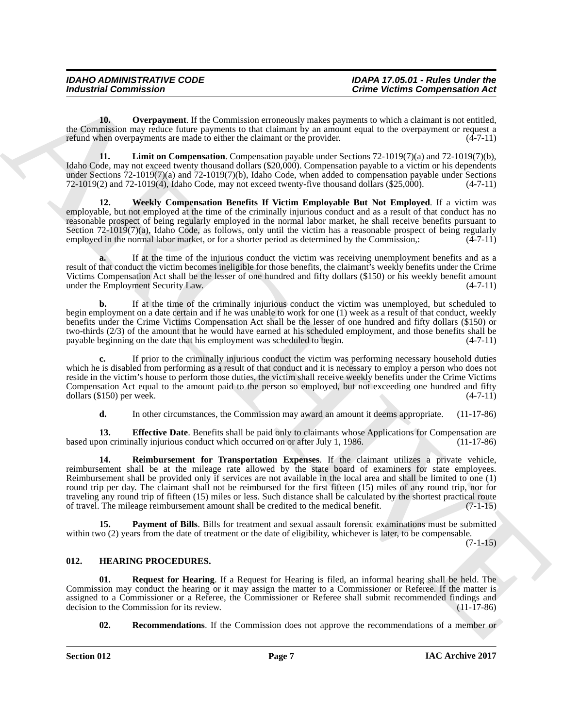<span id="page-6-3"></span>**10. Overpayment**. If the Commission erroneously makes payments to which a claimant is not entitled, the Commission may reduce future payments to that claimant by an amount equal to the overpayment or request a refund when overpayments are made to either the claimant or the provider. (4-7-11) refund when overpayments are made to either the claimant or the provider.

<span id="page-6-2"></span>**11. Limit on Compensation**. Compensation payable under Sections 72-1019(7)(a) and 72-1019(7)(b), Idaho Code, may not exceed twenty thousand dollars (\$20,000). Compensation payable to a victim or his dependents under Sections  $72-1019(7)(a)$  and  $72-1019(7)(b)$ , Idaho Code, when added to compensation payable under Sections  $72-1019(2)$  and  $72-1019(4)$ , Idaho Code, may not exceed twenty-five thousand dollars (\$25,000).  $(4-7-11)$  $72-1019(2)$  and  $72-1019(4)$ , Idaho Code, may not exceed twenty-five thousand dollars (\$25,000).

<span id="page-6-6"></span>**12. Weekly Compensation Benefits If Victim Employable But Not Employed**. If a victim was employable, but not employed at the time of the criminally injurious conduct and as a result of that conduct has no reasonable prospect of being regularly employed in the normal labor market, he shall receive benefits pursuant to Section 72-1019(7)(a), Idaho Code, as follows, only until the victim has a reasonable prospect of being regularly employed in the normal labor market, or for a shorter period as determined by the Commission,: (4-7-11)

**a.** If at the time of the injurious conduct the victim was receiving unemployment benefits and as a result of that conduct the victim becomes ineligible for those benefits, the claimant's weekly benefits under the Crime Victims Compensation Act shall be the lesser of one hundred and fifty dollars (\$150) or his weekly benefit amount under the Employment Security Law. (4-7-11)

**b.** If at the time of the criminally injurious conduct the victim was unemployed, but scheduled to begin employment on a date certain and if he was unable to work for one (1) week as a result of that conduct, weekly benefits under the Crime Victims Compensation Act shall be the lesser of one hundred and fifty dollars (\$150) or two-thirds (2/3) of the amount that he would have earned at his scheduled employment, and those benefits shall be payable beginning on the date that his employment was scheduled to begin.  $(4-7-11)$ payable beginning on the date that his employment was scheduled to begin.

**c.** If prior to the criminally injurious conduct the victim was performing necessary household duties which he is disabled from performing as a result of that conduct and it is necessary to employ a person who does not reside in the victim's house to perform those duties, the victim shall receive weekly benefits under the Crime Victims Compensation Act equal to the amount paid to the person so employed, but not exceeding one hundred and fifty dollars  $(\$150)$  per week.  $(4-7-11)$  $dollars$  (\$150) per week.

<span id="page-6-5"></span><span id="page-6-1"></span>**d.** In other circumstances, the Commission may award an amount it deems appropriate. (11-17-86)

**13. Effective Date**. Benefits shall be paid only to claimants whose Applications for Compensation are on criminally injurious conduct which occurred on or after July 1, 1986. based upon criminally injurious conduct which occurred on or after July 1, 1986.

For the state of the state of the commission connective matrix connective matrix components and  $\mu$ . The state of the state of the state of the state of the state of the state of the state of the state of the state of th **14. Reimbursement for Transportation Expenses**. If the claimant utilizes a private vehicle, reimbursement shall be at the mileage rate allowed by the state board of examiners for state employees. Reimbursement shall be provided only if services are not available in the local area and shall be limited to one (1) round trip per day. The claimant shall not be reimbursed for the first fifteen (15) miles of any round trip, nor for traveling any round trip of fifteen (15) miles or less. Such distance shall be calculated by the shortest practical route of travel. The mileage reimbursement amount shall be credited to the medical benefit. (7-1-15)

<span id="page-6-4"></span>**15. Payment of Bills**. Bills for treatment and sexual assault forensic examinations must be submitted within two (2) years from the date of treatment or the date of eligibility, whichever is later, to be compensable.

 $(7-1-15)$ 

#### <span id="page-6-7"></span><span id="page-6-0"></span>**012. HEARING PROCEDURES.**

**Request for Hearing.** If a Request for Hearing is filed, an informal hearing shall be held. The Commission may conduct the hearing or it may assign the matter to a Commissioner or Referee. If the matter is assigned to a Commissioner or a Referee, the Commissioner or Referee shall submit recommended findings and decision to the Commission for its review. (11-17-86) decision to the Commission for its review.

<span id="page-6-9"></span><span id="page-6-8"></span>**02. Recommendations**. If the Commission does not approve the recommendations of a member or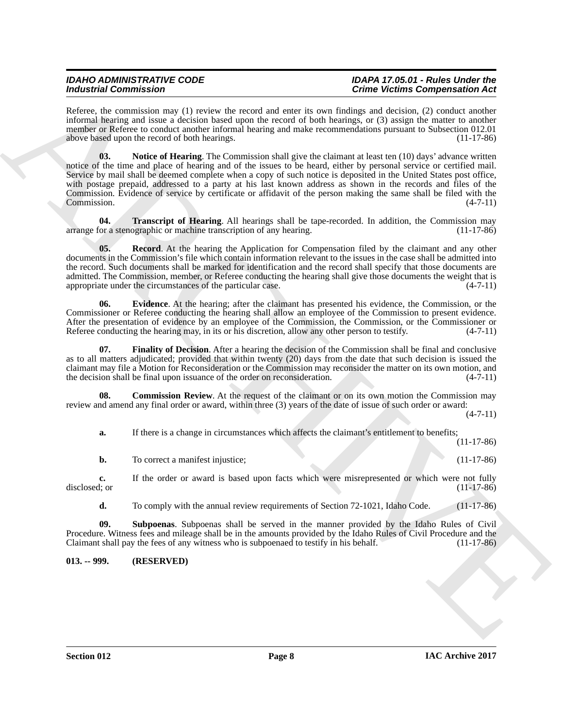#### *IDAHO ADMINISTRATIVE CODE IDAPA 17.05.01 - Rules Under the Crime Victims Compensation Act*

<span id="page-7-4"></span>Referee, the commission may (1) review the record and enter its own findings and decision, (2) conduct another informal hearing and issue a decision based upon the record of both hearings, or (3) assign the matter to another member or Referee to conduct another informal hearing and make recommendations pursuant to Subsection 012.01 above based upon the record of both hearings. (11-17-86)

Moderniz Commutation and (1) periodic at a system of the proposition of the Columb Commutation of the Columb Control of the Columb Control of the Columb Control of the Columb Columb Columb Columb Columb Columb Columb Colu **03.** Notice of Hearing. The Commission shall give the claimant at least ten (10) days' advance written notice of the time and place of hearing and of the issues to be heard, either by personal service or certified mail. Service by mail shall be deemed complete when a copy of such notice is deposited in the United States post office, with postage prepaid, addressed to a party at his last known address as shown in the records and files of the Commission. Evidence of service by certificate or affidavit of the person making the same shall be filed with the Commission. (4-7-11)

<span id="page-7-7"></span>**04. Transcript of Hearing**. All hearings shall be tape-recorded. In addition, the Commission may or a stenographic or machine transcription of any hearing. arrange for a stenographic or machine transcription of any hearing.

<span id="page-7-5"></span>**05. Record**. At the hearing the Application for Compensation filed by the claimant and any other documents in the Commission's file which contain information relevant to the issues in the case shall be admitted into the record. Such documents shall be marked for identification and the record shall specify that those documents are admitted. The Commission, member, or Referee conducting the hearing shall give those documents the weight that is appropriate under the circumstances of the particular case.  $(4-7-11)$ 

<span id="page-7-2"></span>**06. Evidence**. At the hearing; after the claimant has presented his evidence, the Commission, or the Commissioner or Referee conducting the hearing shall allow an employee of the Commission to present evidence. After the presentation of evidence by an employee of the Commission, the Commission, or the Commissioner or Referee conducting the hearing may, in its or his discretion, allow any other person to testify.  $(4-7-11)$ 

<span id="page-7-3"></span>**07. Finality of Decision**. After a hearing the decision of the Commission shall be final and conclusive as to all matters adjudicated; provided that within twenty (20) days from the date that such decision is issued the claimant may file a Motion for Reconsideration or the Commission may reconsider the matter on its own motion, and the decision shall be final upon issuance of the order on reconsideration. (4-7-11) the decision shall be final upon issuance of the order on reconsideration.

**08.** Commission Review. At the request of the claimant or on its own motion the Commission may review and amend any final order or award, within three (3) years of the date of issue of such order or award:

 $(4 - 7 - 11)$ 

<span id="page-7-1"></span>**a.** If there is a change in circumstances which affects the claimant's entitlement to benefits;

(11-17-86)

|  | To correct a manifest injustice; |  |  |  | $(11-17-86)$ |
|--|----------------------------------|--|--|--|--------------|
|--|----------------------------------|--|--|--|--------------|

**c.** If the order or award is based upon facts which were misrepresented or which were not fully disclosed; or (11-17-86) disclosed; or (11-17-86)

<span id="page-7-6"></span>**d.** To comply with the annual review requirements of Section 72-1021, Idaho Code. (11-17-86)

**09. Subpoenas**. Subpoenas shall be served in the manner provided by the Idaho Rules of Civil Procedure. Witness fees and mileage shall be in the amounts provided by the Idaho Rules of Civil Procedure and the Claimant shall pay the fees of any witness who is subpoenaed to testify in his behalf. (11-17-86)

<span id="page-7-0"></span>**013. -- 999. (RESERVED)**